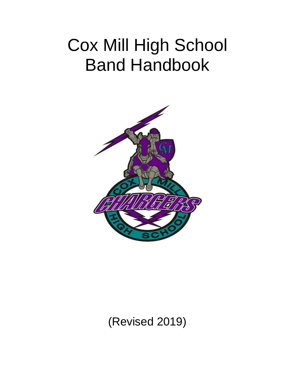# Cox Mill High School Band Handbook



(Revised 2019)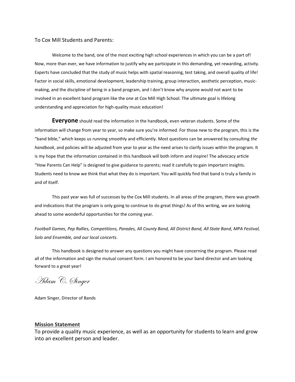#### To Cox Mill Students and Parents:

Welcome to the band, one of the most exciting high school experiences in which you can be a part of! Now, more than ever, we have information to justify why we participate in this demanding, yet rewarding, activity. Experts have concluded that the study of music helps with spatial reasoning, test taking, and overall quality of life! Factor in social skills, emotional development, leadership training, group interaction, aesthetic perception, musicmaking, and the discipline of being in a band program, and I don't know why anyone would not want to be involved in an excellent band program like the one at Cox Mill High School. The ultimate goal is lifelong understanding and appreciation for high-quality music education!

**Everyone** should read the information in the handbook, even veteran students. Some of the information will change from year to year, so make sure you're informed. For those new to the program, this is the "band bible," which keeps us running smoothly and efficiently. Most questions can be answered by consulting *the handbook*, and policies will be adjusted from year to year as the need arises to clarify issues within the program. It is my hope that the information contained in this handbook will both inform and inspire! The advocacy article "How Parents Can Help" is designed to give guidance to parents; read it carefully to gain important insights. Students need to know we think that what they do is important. You will quickly find that band is truly a family in and of itself.

This past year was full of successes by the Cox Mill students. In all areas of the program, there was growth and indications that the program is only going to continue to do great things! As of this writing, we are looking ahead to some wonderful opportunities for the coming year.

*Football Games, Pep Rallies, Competitions, Parades, All County Band, All District Band, All State Band, MPA Festival, Solo and Ensemble, and our local concerts.*

This handbook is designed to answer any questions you might have concerning the program. Please read all of the information and sign the mutual consent form. I am honored to be your band director and am looking forward to a great year!

Adam C. Singer

Adam Singer, Director of Bands

#### **Mission Statement**

To provide a quality music experience, as well as an opportunity for students to learn and grow into an excellent person and leader.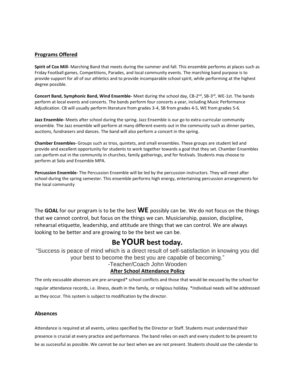## **Programs Offered**

**Spirit of Cox Mill-** Marching Band that meets during the summer and fall. This ensemble performs at places such as Friday Football games, Competitions, Parades, and local community events. The marching band purpose is to provide support for all of our athletics and to provide incomparable school spirit, while performing at the highest degree possible.

**Concert Band, Symphonic Band, Wind Ensemble-** Meet during the school day, CB-2<sup>nd</sup>, SB-3<sup>rd</sup>, WE-1st. The bands perform at local events and concerts. The bands perform four concerts a year, including Music Performance Adjudication. CB will usually perform literature from grades 3-4, SB from grades 4-5, WE from grades 5-6.

**Jazz Ensemble-** Meets after school during the spring. Jazz Ensemble is our go to extra-curricular community ensemble. The Jazz ensemble will perform at many different events out in the community such as dinner parties, auctions, fundraisers and dances. The band will also perform a concert in the spring.

**Chamber Ensembles-** Groups such as trios, quintets, and small ensembles. These groups are student led and provide and excellent opportunity for students to work together towards a goal that they set. Chamber Ensembles can perform out in the community in churches, family gatherings, and for festivals. Students may choose to perform at Solo and Ensemble MPA.

**Percussion Ensemble-** The Percussion Ensemble will be led by the percussion instructors. They will meet after school during the spring semester. This ensemble performs high energy, entertaining percussion arrangements for the local community

The **GOAL** for our program is to be the best **WE** possibly can be. We do not focus on the things that we cannot control, but focus on the things we can. Musicianship, passion, discipline, rehearsal etiquette, leadership, and attitude are things that we can control. We are always looking to be better and are growing to be the best we can be.

# **Be YOUR best today.**

"Success is peace of mind which is a direct result of self-satisfaction in knowing you did your best to become the best you are capable of becoming."

-Teacher/Coach John Wooden

# **After School Attendance Policy**

The only excusable absences are pre-arranged\* school conflicts and those that would be excused by the school for regular attendance records, i.e. illness, death in the family, or religious holiday. \*Individual needs will be addressed as they occur. This system is subject to modification by the director.

#### **Absences**

Attendance is required at all events, unless specified by the Director or Staff. Students must understand their presence is crucial at every practice and performance. The band relies on each and every student to be present to be as successful as possible. We cannot be our best when we are not present. Students should use the calendar to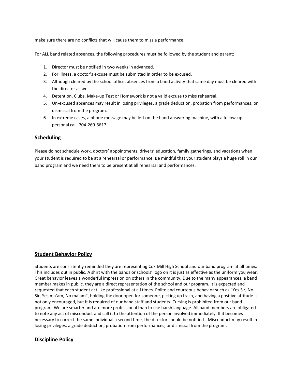make sure there are no conflicts that will cause them to miss a performance.

For ALL band related absences, the following procedures must be followed by the student and parent:

- 1. Director must be notified in two weeks in advanced.
- 2. For illness, a doctor's excuse must be submitted in order to be excused.
- 3. Although cleared by the school office, absences from a band activity that same day must be cleared with the director as well.
- 4. Detention, Clubs, Make-up Test or Homework is not a valid excuse to miss rehearsal.
- 5. Un-excused absences may result in losing privileges, a grade deduction, probation from performances, or dismissal from the program.
- 6. In extreme cases, a phone message may be left on the band answering machine, with a follow-up personal call. 704-260-6617

# **Scheduling**

Please do not schedule work, doctors' appointments, drivers' education, family gatherings, and vacations when your student is required to be at a rehearsal or performance. Be mindful that your student plays a huge roll in our band program and we need them to be present at all rehearsal and performances.

# **Student Behavior Policy**

Students are consistently reminded they are representing Cox Mill High School and our band program at all times. This includes out in public. A shirt with the bands or schools' logo on it is just as effective as the uniform you wear. Great behavior leaves a wonderful impression on others in the community. Due to the many appearances, a band member makes in public, they are a direct representation of the school and our program. It is expected and requested that each student act like professional at all times. Polite and courteous behavior such as "Yes Sir, No Sir, Yes ma'am, No ma'am", holding the door open for someone, picking up trash, and having a positive attitude is not only encouraged, but it is required of our band staff and students. Cursing is prohibited from our band program. We are smarter and are more professional than to use harsh language. All band members are obligated to note any act of misconduct and call it to the attention of the person involved immediately. If it becomes necessary to correct the same individual a second time, the director should be notified. Misconduct may result in losing privileges, a grade deduction, probation from performances, or dismissal from the program.

# **Discipline Policy**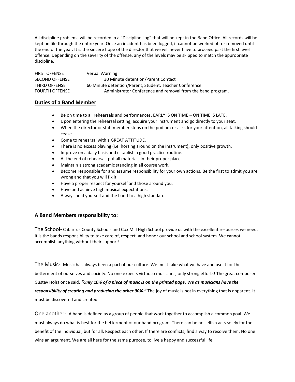All discipline problems will be recorded in a "Discipline Log" that will be kept in the Band Office. All records will be kept on file through the entire year. Once an incident has been logged, it cannot be worked off or removed until the end of the year. It is the sincere hope of the director that we will never have to proceed past the first level offense. Depending on the severity of the offense, any of the levels may be skipped to match the appropriate discipline.

FIRST OFFENSE Verbal Warning SECOND OFFENSE 30 Minute detention/Parent Contact THIRD OFFENSE 60 Minute detention/Parent, Student, Teacher Conference FOURTH OFFENSE **Administrator Conference and removal from the band program.** 

# **Duties of a Band Member**

- Be on time to all rehearsals and performances. EARLY IS ON TIME ON TIME IS LATE.
- Upon entering the rehearsal setting, acquire your instrument and go directly to your seat.
- When the director or staff member steps on the podium or asks for your attention, all talking should cease.
- Come to rehearsal with a GREAT ATTITUDE.
- There is no excess playing (i.e. horsing around on the instrument); only positive growth.
- Improve on a daily basis and establish a good practice routine.
- At the end of rehearsal, put all materials in their proper place.
- Maintain a strong academic standing in all course work.
- Become responsible for and assume responsibility for your own actions. Be the first to admit you are wrong and that you will fix it.
- Have a proper respect for yourself and those around you.
- Have and achieve high musical expectations.
- Always hold yourself and the band to a high standard.

# **A Band Members responsibility to:**

The School- Cabarrus County Schools and Cox Mill High School provide us with the excellent resources we need. It is the bands responsibility to take care of, respect, and honor our school and school system. We cannot accomplish anything without their support!

The Music- Music has always been a part of our culture. We must take what we have and use it for the betterment of ourselves and society. No one expects virtuoso musicians, only strong efforts! The great composer Gustav Holst once said, *"Only 10% of a piece of music is on the printed page. We as musicians have the responsibility of creating and producing the other 90%."* The joy of music is not in everything that is apparent. It must be discovered and created.

One another- A band is defined as a group of people that work together to accomplish a common goal. We must always do what is best for the betterment of our band program. There can be no selfish acts solely for the benefit of the individual, but for all. Respect each other. If there are conflicts, find a way to resolve them. No one wins an argument. We are all here for the same purpose, to live a happy and successful life.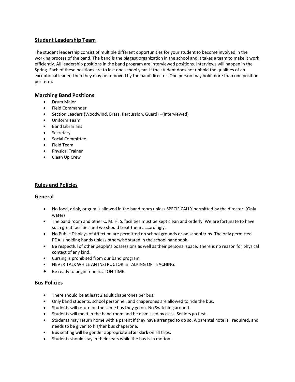# **Student Leadership Team**

The student leadership consist of multiple different opportunities for your student to become involved in the working process of the band. The band is the biggest organization in the school and it takes a team to make it work efficiently. All leadership positions in the band program are interviewed positions. Interviews will happen in the Spring. Each of these positions are to last one school year. If the student does not uphold the qualities of an exceptional leader, then they may be removed by the band director. One person may hold more than one position per term.

# **Marching Band Positions**

- Drum Major
- Field Commander
- Section Leaders (Woodwind, Brass, Percussion, Guard) –(Interviewed)
- Uniform Team
- Band Librarians
- Secretary
- Social Committee
- Field Team
- Physical Trainer
- Clean Up Crew

# **Rules and Policies**

#### **General**

- No food, drink, or gum is allowed in the band room unless SPECIFICALLY permitted by the director. (Only water)
- The band room and other C. M. H. S. facilities must be kept clean and orderly. We are fortunate to have such great facilities and we should treat them accordingly.
- No Public Displays of Affection are permitted on school grounds or on school trips. The only permitted PDA is holding hands unless otherwise stated in the school handbook.
- Be respectful of other people's possessions as well as their personal space. There is no reason for physical contact of any kind.
- Cursing is prohibited from our band program.
- NEVER TALK WHILE AN INSTRUCTOR IS TALKING OR TEACHING.
- Be ready to begin rehearsal ON TIME.

# **Bus Policies**

- There should be at least 2 adult chaperones per bus.
- Only band students, school personnel, and chaperones are allowed to ride the bus.
- Students will return on the same bus they go on. No Switching around.
- Students will meet in the band room and be dismissed by class, Seniors go first.
- Students may return home with a parent if they have arranged to do so. A parental note is required, and needs to be given to his/her bus chaperone.
- Bus seating will be gender appropriate **after dark** on all trips.
- Students should stay in their seats while the bus is in motion.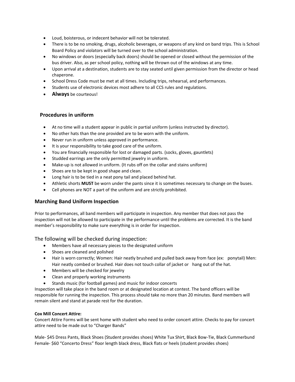- Loud, boisterous, or indecent behavior will not be tolerated.
- There is to be no smoking, drugs, alcoholic beverages, or weapons of any kind on band trips. This is School Board Policy and violators will be turned over to the school administration.
- No windows or doors (especially back doors) should be opened or closed without the permission of the bus driver. Also, as per school policy, nothing will be thrown out of the windows at any time.
- Upon arrival at a destination, students are to stay seated until given permission from the director or head chaperone.
- School Dress Code must be met at all times. Including trips, rehearsal, and performances.
- Students use of electronic devices most adhere to all CCS rules and regulations.
- **Always** be courteous!

#### **Procedures in uniform**

- At no time will a student appear in public in partial uniform (unless instructed by director).
- No other hats than the one provided are to be worn with the uniform.
- Never run in uniform unless approved in performance.
- It is your responsibility to take good care of the uniform.
- You are financially responsible for lost or damaged parts. (socks, gloves, gauntlets)
- Studded earrings are the only permitted jewelry in uniform.
- Make-up is not allowed in uniform. (It rubs off on the collar and stains uniform)
- Shoes are to be kept in good shape and clean.
- Long hair is to be tied in a neat pony tail and placed behind hat.
- Athletic shorts **MUST** be worn under the pants since it is sometimes necessary to change on the buses.
- Cell phones are NOT a part of the uniform and are strictly prohibited.

# **Marching Band Uniform Inspection**

Prior to performances, all band members will participate in inspection. Any member that does not pass the inspection will not be allowed to participate in the performance until the problems are corrected. It is the band member's responsibility to make sure everything is in order for inspection.

The following will be checked during inspection:

- Members have all necessary pieces to the designated uniform
- Shoes are cleaned and polished
- Hair is worn correctly; Women: Hair neatly brushed and pulled back away from face (ex: ponytail) Men: Hair neatly combed or brushed. Hair does not touch collar of jacket or hang out of the hat.
- Members will be checked for jewelry
- Clean and properly working instruments
- Stands music (for football games) and music for indoor concerts

Inspection will take place in the band room or at designated location at contest. The band officers will be responsible for running the inspection. This process should take no more than 20 minutes. Band members will remain silent and stand at parade rest for the duration.

#### **Cox Mill Concert Attire:**

Concert Attire Forms will be sent home with student who need to order concert attire. Checks to pay for concert attire need to be made out to "Charger Bands"

Male- \$45 Dress Pants, Black Shoes (Student provides shoes) White Tux Shirt, Black Bow-Tie, Black Cummerbund Female- \$60 "Concerto Dress" floor length black dress, Black flats or heels (student provides shoes)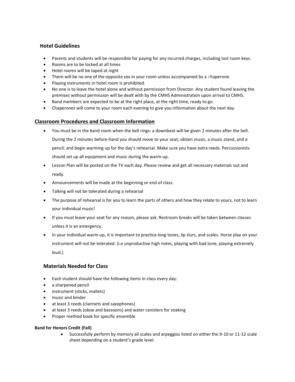# **Hotel Guidelines**

- Parents and students will be responsible for paying for any incurred charges, including lost room keys.
- Rooms are to be locked at all times
- Hotel rooms will be taped at night
- There will be no one of the opposite sex in your room unless accompanied by a chaperone.
- Playing instruments in hotel room is prohibited.
- No one is to leave the hotel alone and without permission from Director. Any student found leaving the premises without permission will be dealt with by the CMHS Administration upon arrival to CMHS.
- Band members are expected to be at the right place, at the right time, ready to go.
- Chaperones will come to your room each evening to give you information about the next day.

# **Classroom Procedures and Classroom Information**

- You must be in the band room when the bell rings: a downbeat will be given 2 minutes after the bell. During the 2 minutes before-hand you should move to your seat; obtain music, a music stand, and a pencil; and begin warming up for the day's rehearsal. Make sure you have extra reeds. Percussionists should set up all equipment and music during the warm-up.
- Lesson Plan will be posted on the TV each day. Please review and get all necessary materials out and ready.
- Announcements will be made at the beginning or end of class.
- Talking will not be tolerated during a rehearsal
- The purpose of rehearsal is for you to learn the parts of others and how they relate to yours, not to learn your individual music!
- If you must leave your seat for any reason, please ask. Restroom breaks will be taken between classes unless it is an emergency.
- In your individual warm-up, it is important to practice long tones, lip slurs, and scales. Horse play on your instrument will not be tolerated. (i.e unproductive high notes, playing with bad tone, playing extremely loud.)

# **Materials Needed for Class**

- Each student should have the following items in class every day:
- a sharpened pencil
- instrument (sticks, mallets)
- music and binder
- at least 3 reeds (clarinets and saxophones)
- at least 3 reeds (oboe and bassoons) and water canisters for soaking
- Proper method book for specific ensemble

#### **Band for Honors Credit (Fall)**

• Successfully perform by memory all scales and arpeggios listed on either the 9-10 or 11-12 scale sheet depending on a student's grade level.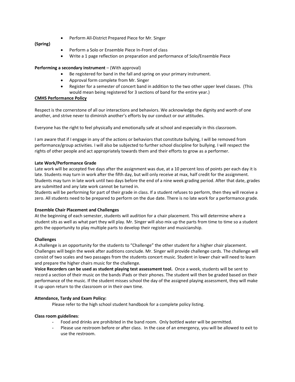• Perform All-District Prepared Piece for Mr. Singer

#### **(Spring)**

- Perform a Solo or Ensemble Piece In-Front of class
- Write a 1 page reflection on preparation and performance of Solo/Ensemble Piece

#### **Performing a secondary instrument** – (With approval)

- Be registered for band in the fall and spring on your primary instrument.
- Approval form complete from Mr. Singer
- Register for a semester of concert band in addition to the two other upper level classes. (This would mean being registered for 3 sections of band for the entire year.)

#### **CMHS Performance Policy**

Respect is the cornerstone of all our interactions and behaviors. We acknowledge the dignity and worth of one another, and strive never to diminish another's efforts by our conduct or our attitudes.

Everyone has the right to feel physically and emotionally safe at school and especially in this classroom.

I am aware that if I engage in any of the actions or behaviors that constitute bullying, I will be removed from performance/group activities. I will also be subjected to further school discipline for bullying. I will respect the rights of other people and act appropriately towards them and their efforts to grow as a performer.

#### **Late Work/Performance Grade**

Late work will be accepted five days after the assignment was due, at a 10 percent loss of points per each day it is late. Students may turn in work after the fifth day, but will only receive at max, half credit for the assignment. Students may turn in late work until two days before the end of a nine week grading period. After that date, grades are submitted and any late work cannot be turned in.

Students will be performing for part of their grade in class. If a student refuses to perform, then they will receive a zero. All students need to be prepared to perform on the due date. There is no late work for a performance grade.

#### **Ensemble Chair Placement and Challenges**

At the beginning of each semester, students will audition for a chair placement. This will determine where a student sits as well as what part they will play. Mr. Singer will also mix up the parts from time to time so a student gets the opportunity to play multiple parts to develop their register and musicianship.

#### **Challenges**

A challenge is an opportunity for the students to "Challenge" the other student for a higher chair placement. Challenges will begin the week after auditions conclude. Mr. Singer will provide challenge cards. The challenge will consist of two scales and two passages from the students concert music. Student in lower chair will need to learn and prepare the higher chairs music for the challenge.

**Voice Recorders can be used as student playing test assessment tool.** Once a week, students will be sent to record a section of their music on the bands iPads or their phones. The student will then be graded based on their performance of the music. If the student misses school the day of the assigned playing assessment, they will make it up upon return to the classroom or in their own time.

# **Attendance, Tardy and Exam Policy:**

Please refer to the high school student handbook for a complete policy listing.

#### **Class room guidelines**:

- Food and drinks are prohibited in the band room. Only bottled water will be permitted.
- Please use restroom before or after class. In the case of an emergency, you will be allowed to exit to use the restroom.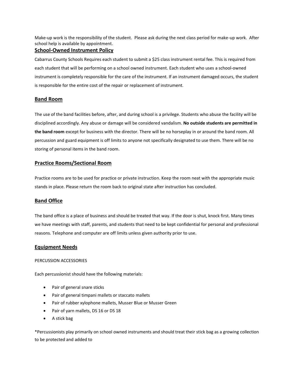Make-up work is the responsibility of the student. Please ask during the next class period for make-up work. After school help is available by appointment.

#### **School-Owned Instrument Policy**

Cabarrus County Schools Requires each student to submit a \$25 class instrument rental fee. This is required from each student that will be performing on a school owned instrument. Each student who uses a school-owned instrument is completely responsible for the care of the instrument. If an instrument damaged occurs, the student is responsible for the entire cost of the repair or replacement of instrument.

# **Band Room**

The use of the band facilities before, after, and during school is a privilege. Students who abuse the facility will be disciplined accordingly. Any abuse or damage will be considered vandalism. **No outside students are permitted in the band room** except for business with the director. There will be no horseplay in or around the band room. All percussion and guard equipment is off limits to anyone not specifically designated to use them. There will be no storing of personal items in the band room.

# **Practice Rooms/Sectional Room**

Practice rooms are to be used for practice or private instruction. Keep the room neat with the appropriate music stands in place. Please return the room back to original state after instruction has concluded.

# **Band Office**

The band office is a place of business and should be treated that way. If the door is shut, knock first. Many times we have meetings with staff, parents, and students that need to be kept confidential for personal and professional reasons. Telephone and computer are off limits unless given authority prior to use.

# **Equipment Needs**

#### PERCUSSION ACCESSORIES

Each percussionist should have the following materials:

- Pair of general snare sticks
- Pair of general timpani mallets or staccato mallets
- Pair of rubber xylophone mallets, Musser Blue or Musser Green
- Pair of yarn mallets, DS 16 or DS 18
- A stick bag

\*Percussionists play primarily on school owned instruments and should treat their stick bag as a growing collection to be protected and added to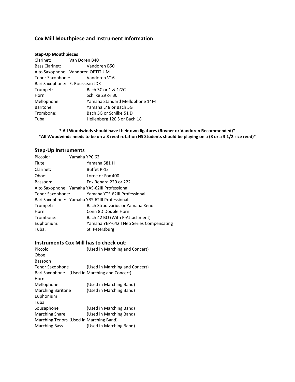# **Cox Mill Mouthpiece and Instrument Information**

#### **Step-Up Mouthpieces**

| Clarinet: Van Doren B40         |                                   |
|---------------------------------|-----------------------------------|
| <b>Bass Clarinet:</b>           | Vandoren B50                      |
|                                 | Alto Saxophone: Vandoren OPTITIUM |
|                                 | Tenor Saxophone: Vandoren V16     |
| Bari Saxophone: E. Rousseau JDX |                                   |
| Trumpet:                        | Bach 3C or 1 & 1/2C               |
| Horn:                           | Schilke 29 or 30                  |
| Mellophone:                     | Yamaha Standard Mellophone 14F4   |
| Baritone:                       | Yamaha L48 or Bach 5G             |
| Trombone:                       | Bach 5G or Schilke 51 D           |
| Tuba:                           | Hellenberg 120 S or Bach 18       |

# **\* All Woodwinds should have their own ligatures (Rovner or Vandoren Recommended)\* \*All Woodwinds needs to be on a 3 reed rotation HS Students should be playing on a (3 or a 3 1/2 size reed)\***

# **Step-Up Instruments**

| Piccolo:   | Yamaha YPC 62 |                                                |
|------------|---------------|------------------------------------------------|
| Flute:     |               | Yamaha 581 H                                   |
| Clarinet:  |               | Buffet R-13                                    |
| Oboe:      |               | Loree or Fox 400                               |
| Bassoon:   |               | Fox Renard 220 or 222                          |
|            |               | Alto Saxophone: Yamaha YAS-62III Professional  |
|            |               | Tenor Saxophone: Yamaha YTS-62III Professional |
|            |               | Bari Saxophone: Yamaha YBS-62III Professional  |
| Trumpet:   |               | Bach Stradivarius or Yamaha Xeno               |
| Horn:      |               | Conn 8D Double Horn                            |
| Trombone:  |               | Bach 42 BO (With F-Attachment)                 |
| Euphonium: |               | Yamaha YEP-642II Neo Series Compensating       |
| Tuba:      |               | St. Petersburg                                 |

# **Instruments Cox Mill has to check out:**

| Piccolo                                       | (Used in Marching and Concert) |
|-----------------------------------------------|--------------------------------|
| Oboe                                          |                                |
| <b>Bassoon</b>                                |                                |
| Tenor Saxophone                               | (Used in Marching and Concert) |
| Bari Saxophone (Used in Marching and Concert) |                                |
| Horn                                          |                                |
| Mellophone                                    | (Used in Marching Band)        |
| <b>Marching Baritone</b>                      | (Used in Marching Band)        |
| Euphonium                                     |                                |
| Tuba                                          |                                |
| Sousaphone                                    | (Used in Marching Band)        |
| <b>Marching Snare</b>                         | (Used in Marching Band)        |
| Marching Tenors (Used in Marching Band)       |                                |
| <b>Marching Bass</b>                          | (Used in Marching Band)        |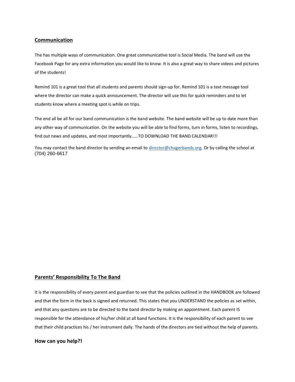#### **Communication**

The has multiple ways of communication. One great communicative tool is Social Media. The band will use the Facebook Page for any extra information you would like to know. It is also a great way to share videos and pictures of the students!

Remind 101 is a great tool that all students and parents should sign-up for. Remind 101 is a text message tool where the director can make a quick announcement. The director will use this for quick reminders and to let students know where a meeting spot is while on trips.

The end all be all for our band communication is the band website. The band website will be up to date more than any other way of communication. On the website you will be able to find forms, turn in forms, listen to recordings, find out news and updates, and most importantly……TO DOWNLOAD THE BAND CALENDAR!!!

You may contact the band director by sending an email to [director@chagerbands.org.](mailto:director@chagerbands.org) Or by calling the school at (704) 260-6617

# **Parents' Responsibility To The Band**

It is the responsibility of every parent and guardian to see that the policies outlined in the HANDBOOK are followed and that the form in the back is signed and returned. This states that you UNDERSTAND the policies as set within, and that any questions are to be directed to the band director by making an appointment. Each parent IS responsible for the attendance of his/her child at all band functions. It is the responsibility of each parent to see that their child practices his / her instrument daily. The hands of the directors are tied without the help of parents.

#### **How can you help?!**